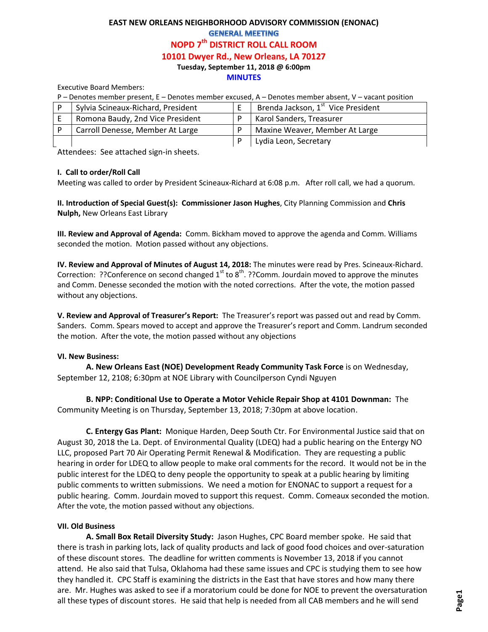# **EAST NEW ORLEANS NEIGHBORHOOD ADVISORY COMMISSION (ENONAC) GENERAL MEETING NOPD 7th DISTRICT ROLL CALL ROOM 10101 Dwyer Rd., New Orleans, LA 70127 Tuesday, September 11, 2018 @ 6:00pm**

#### **MINUTES**

Executive Board Members:

P – Denotes member present, E – Denotes member excused, A – Denotes member absent, V – vacant position

| Sylvia Scineaux-Richard, President | Brenda Jackson, 1 <sup>st</sup> Vice President |
|------------------------------------|------------------------------------------------|
| Romona Baudy, 2nd Vice President   | <b>Karol Sanders, Treasurer</b>                |
| Carroll Denesse, Member At Large   | Maxine Weaver, Member At Large                 |
|                                    | Lydia Leon, Secretary                          |

Attendees: See attached sign-in sheets.

### **I. Call to order/Roll Call**

Meeting was called to order by President Scineaux-Richard at 6:08 p.m. After roll call, we had a quorum.

**II. Introduction of Special Guest(s): Commissioner Jason Hughes**, City Planning Commission and **Chris Nulph,** New Orleans East Library

**III. Review and Approval of Agenda:** Comm. Bickham moved to approve the agenda and Comm. Williams seconded the motion. Motion passed without any objections.

**IV. Review and Approval of Minutes of August 14, 2018:** The minutes were read by Pres. Scineaux-Richard. Correction: ??Conference on second changed  $1<sup>st</sup>$  to  $8<sup>th</sup>$ . ??Comm. Jourdain moved to approve the minutes and Comm. Denesse seconded the motion with the noted corrections. After the vote, the motion passed without any objections.

**V. Review and Approval of Treasurer's Report:** The Treasurer's report was passed out and read by Comm. Sanders. Comm. Spears moved to accept and approve the Treasurer's report and Comm. Landrum seconded the motion. After the vote, the motion passed without any objections

### **VI. New Business:**

**A. New Orleans East (NOE) Development Ready Community Task Force** is on Wednesday, September 12, 2108; 6:30pm at NOE Library with Councilperson Cyndi Nguyen

**B. NPP: Conditional Use to Operate a Motor Vehicle Repair Shop at 4101 Downman:** The Community Meeting is on Thursday, September 13, 2018; 7:30pm at above location.

**C. Entergy Gas Plant:** Monique Harden, Deep South Ctr. For Environmental Justice said that on August 30, 2018 the La. Dept. of Environmental Quality (LDEQ) had a public hearing on the Entergy NO LLC, proposed Part 70 Air Operating Permit Renewal & Modification. They are requesting a public hearing in order for LDEQ to allow people to make oral comments for the record. It would not be in the public interest for the LDEQ to deny people the opportunity to speak at a public hearing by limiting public comments to written submissions. We need a motion for ENONAC to support a request for a public hearing. Comm. Jourdain moved to support this request. Comm. Comeaux seconded the motion. After the vote, the motion passed without any objections.

### **VII. Old Business**

**A. Small Box Retail Diversity Study:** Jason Hughes, CPC Board member spoke. He said that there is trash in parking lots, lack of quality products and lack of good food choices and over-saturation of these discount stores. The deadline for written comments is November 13, 2018 if you cannot attend. He also said that Tulsa, Oklahoma had these same issues and CPC is studying them to see how they handled it. CPC Staff is examining the districts in the East that have stores and how many there are. Mr. Hughes was asked to see if a moratorium could be done for NOE to prevent the oversaturation all these types of discount stores. He said that help is needed from all CAB members and he will send